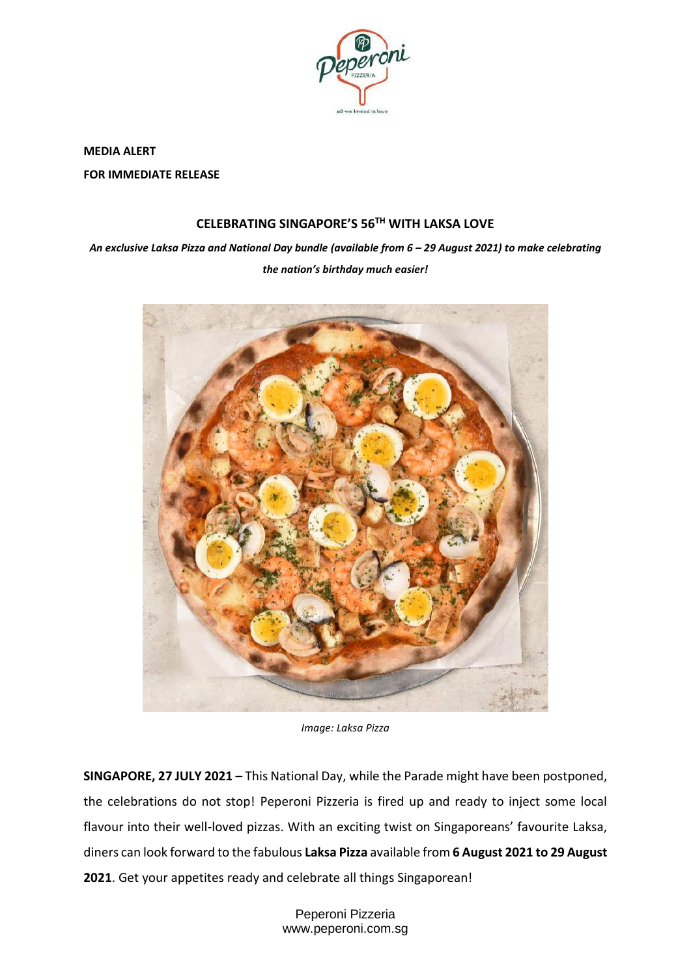

**MEDIA ALERT FOR IMMEDIATE RELEASE**

# **CELEBRATING SINGAPORE'S 56TH WITH LAKSA LOVE**

*An exclusive Laksa Pizza and National Day bundle (available from 6 – 29 August 2021) to make celebrating the nation's birthday much easier!*



*Image: Laksa Pizza*

**SINGAPORE, 27 JULY 2021 –** This National Day, while the Parade might have been postponed, the celebrations do not stop! Peperoni Pizzeria is fired up and ready to inject some local flavour into their well-loved pizzas. With an exciting twist on Singaporeans' favourite Laksa, diners can look forward to the fabulous **Laksa Pizza** available from **6 August 2021 to 29 August 2021**. Get your appetites ready and celebrate all things Singaporean!

> Peperoni Pizzeria www.peperoni.com.sg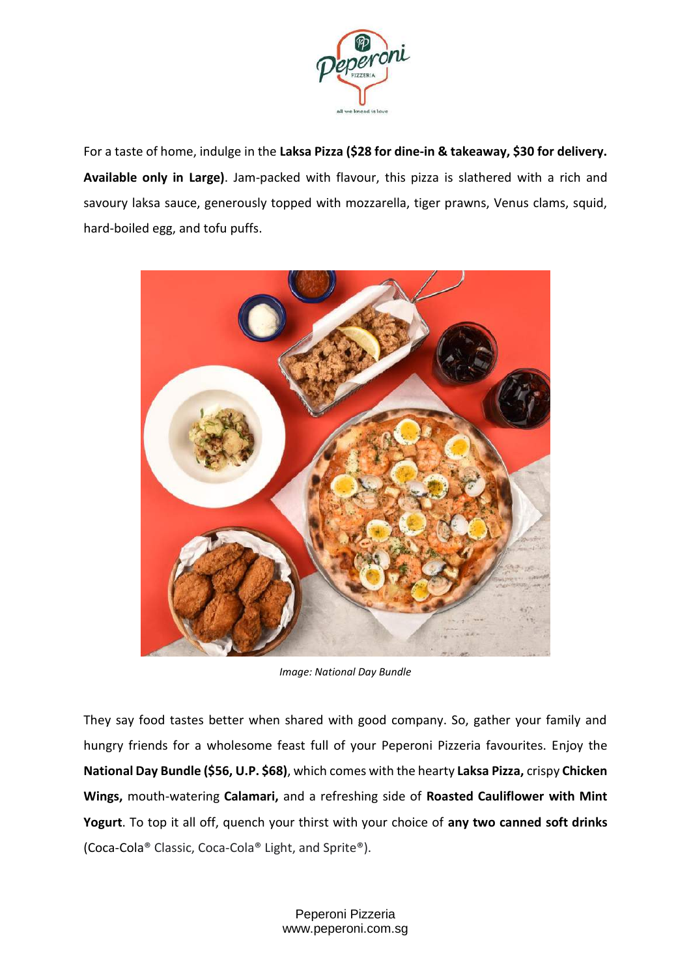

For a taste of home, indulge in the **Laksa Pizza (\$28 for dine-in & takeaway, \$30 for delivery. Available only in Large)**. Jam-packed with flavour, this pizza is slathered with a rich and savoury laksa sauce, generously topped with mozzarella, tiger prawns, Venus clams, squid, hard-boiled egg, and tofu puffs.



*Image: National Day Bundle*

They say food tastes better when shared with good company. So, gather your family and hungry friends for a wholesome feast full of your Peperoni Pizzeria favourites. Enjoy the **National Day Bundle (\$56, U.P. \$68)**, which comes with the hearty **Laksa Pizza,** crispy **Chicken Wings,** mouth-watering **Calamari,** and a refreshing side of **Roasted Cauliflower with Mint Yogurt**. To top it all off, quench your thirst with your choice of **any two canned soft drinks** (Coca-Cola® Classic, Coca-Cola® Light, and Sprite®).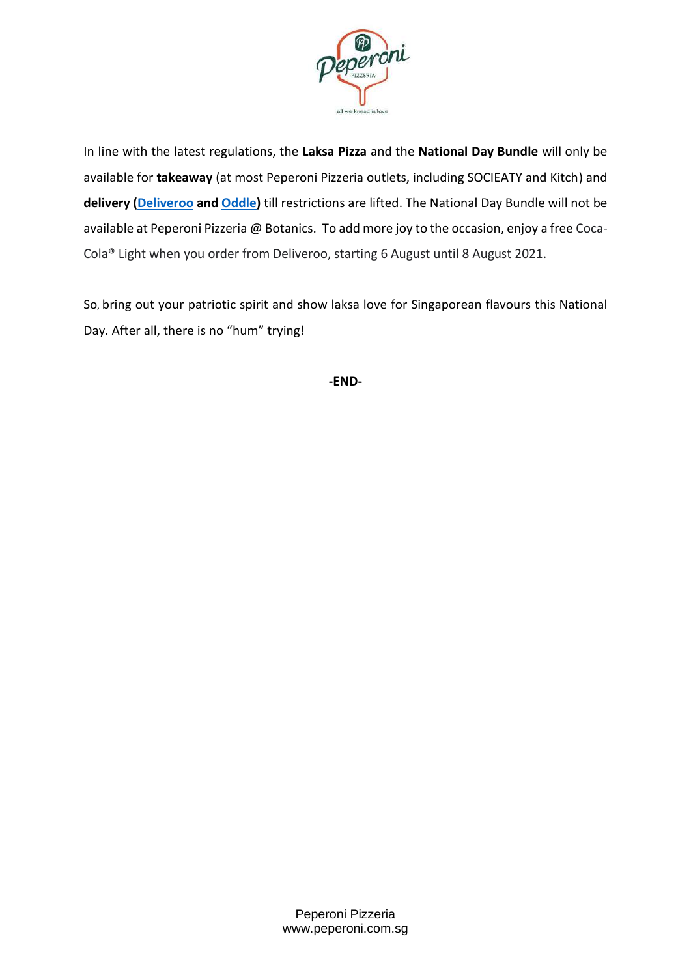

In line with the latest regulations, the **Laksa Pizza** and the **National Day Bundle** will only be available for **takeaway** (at most Peperoni Pizzeria outlets, including SOCIEATY and Kitch) and **delivery [\(Deliveroo](https://deliveroo.com.sg/brands/peperoni-pizzeria-group?utm_campaign=webreferral&utm_medium=backlink&utm_source=peperoni-pizzeria-group) and [Oddle\)](https://order.peperoni.com.sg/)** till restrictions are lifted. The National Day Bundle will not be available at Peperoni Pizzeria @ Botanics. To add more joy to the occasion, enjoy a free Coca-Cola® Light when you order from Deliveroo, starting 6 August until 8 August 2021.

So, bring out your patriotic spirit and show laksa love for Singaporean flavours this National Day. After all, there is no "hum" trying!

**-END-**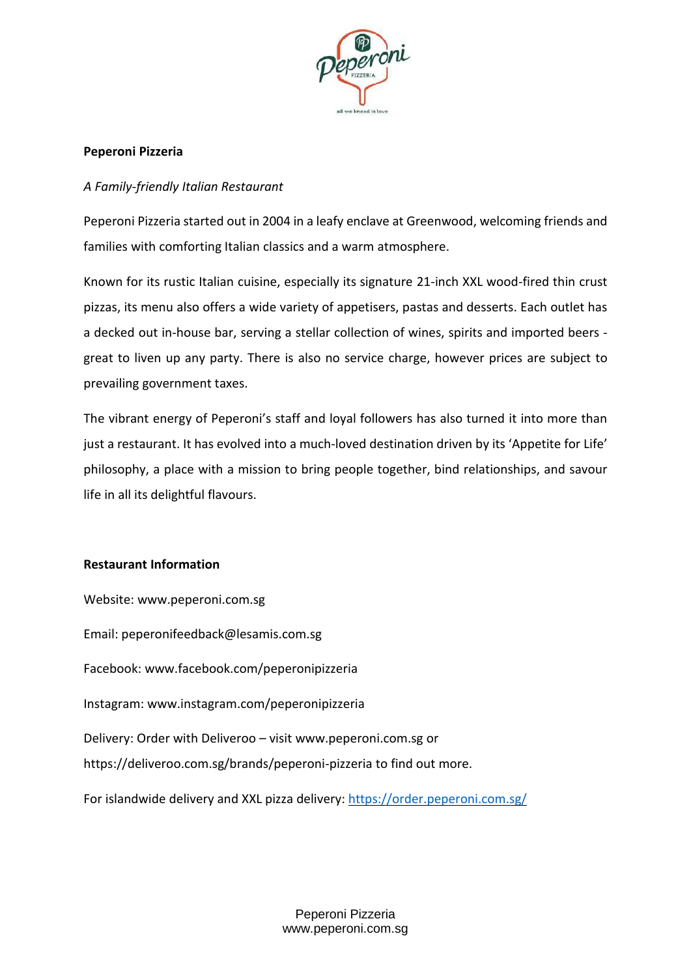

## **Peperoni Pizzeria**

### *A Family-friendly Italian Restaurant*

Peperoni Pizzeria started out in 2004 in a leafy enclave at Greenwood, welcoming friends and families with comforting Italian classics and a warm atmosphere.

Known for its rustic Italian cuisine, especially its signature 21-inch XXL wood-fired thin crust pizzas, its menu also offers a wide variety of appetisers, pastas and desserts. Each outlet has a decked out in-house bar, serving a stellar collection of wines, spirits and imported beers great to liven up any party. There is also no service charge, however prices are subject to prevailing government taxes.

The vibrant energy of Peperoni's staff and loyal followers has also turned it into more than just a restaurant. It has evolved into a much-loved destination driven by its 'Appetite for Life' philosophy, a place with a mission to bring people together, bind relationships, and savour life in all its delightful flavours.

#### **Restaurant Information**

Website: [www.peperoni.com.sg](http://www.peperoni.com.sg/) Email: [peperonifeedback@lesamis.com.sg](mailto:peperonifeedback@lesamis.com.sg) Facebook: [www.facebook.com/peperonipizzeria](http://www.facebook.com/peperonipizzeria) Instagram: [www.instagram.com/peperonipizzeria](http://www.instagram.com/peperonipizzeria) Delivery: Order with Deliveroo – visit [www.peperoni.com.sg](http://www.peperoni.com.sg/) or <https://deliveroo.com.sg/brands/peperoni-pizzeria> to find out more. For islandwide delivery and XXL pizza delivery: <https://order.peperoni.com.sg/>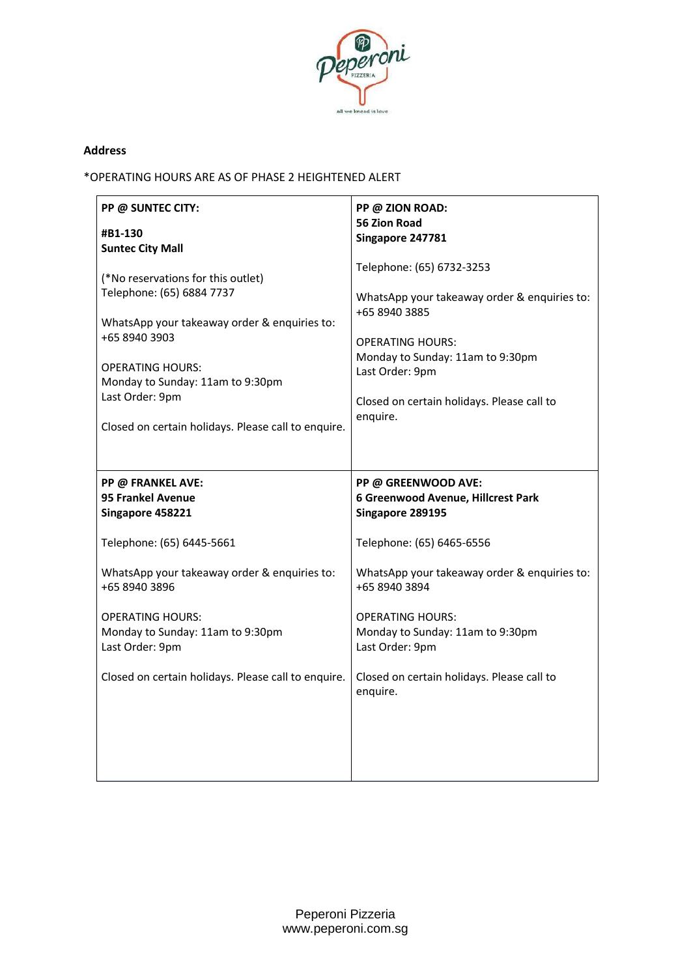

#### **Address**

\*OPERATING HOURS ARE AS OF PHASE 2 HEIGHTENED ALERT

| PP @ SUNTEC CITY:                                                              | PP @ ZION ROAD:                                             |
|--------------------------------------------------------------------------------|-------------------------------------------------------------|
| #B1-130                                                                        | <b>56 Zion Road</b>                                         |
| <b>Suntec City Mall</b>                                                        | Singapore 247781                                            |
| (*No reservations for this outlet)                                             | Telephone: (65) 6732-3253                                   |
| Telephone: (65) 6884 7737                                                      | WhatsApp your takeaway order & enquiries to:                |
| WhatsApp your takeaway order & enquiries to:                                   | +65 8940 3885                                               |
| +65 8940 3903                                                                  | <b>OPERATING HOURS:</b>                                     |
| <b>OPERATING HOURS:</b>                                                        | Monday to Sunday: 11am to 9:30pm                            |
| Monday to Sunday: 11am to 9:30pm                                               | Last Order: 9pm                                             |
| Last Order: 9pm                                                                | Closed on certain holidays. Please call to                  |
| Closed on certain holidays. Please call to enquire.                            | enquire.                                                    |
| PP @ FRANKEL AVE:                                                              | PP @ GREENWOOD AVE:                                         |
| <b>95 Frankel Avenue</b>                                                       | 6 Greenwood Avenue, Hillcrest Park                          |
| Singapore 458221                                                               | Singapore 289195                                            |
| Telephone: (65) 6445-5661                                                      | Telephone: (65) 6465-6556                                   |
| WhatsApp your takeaway order & enquiries to:                                   | WhatsApp your takeaway order & enquiries to:                |
| +65 8940 3896                                                                  | +65 8940 3894                                               |
| <b>OPERATING HOURS:</b><br>Monday to Sunday: 11am to 9:30pm<br>Last Order: 9pm | <b>OPERATING HOURS:</b><br>Monday to Sunday: 11am to 9:30pm |
|                                                                                | Last Order: 9pm                                             |
| Closed on certain holidays. Please call to enquire.                            | Closed on certain holidays. Please call to<br>enquire.      |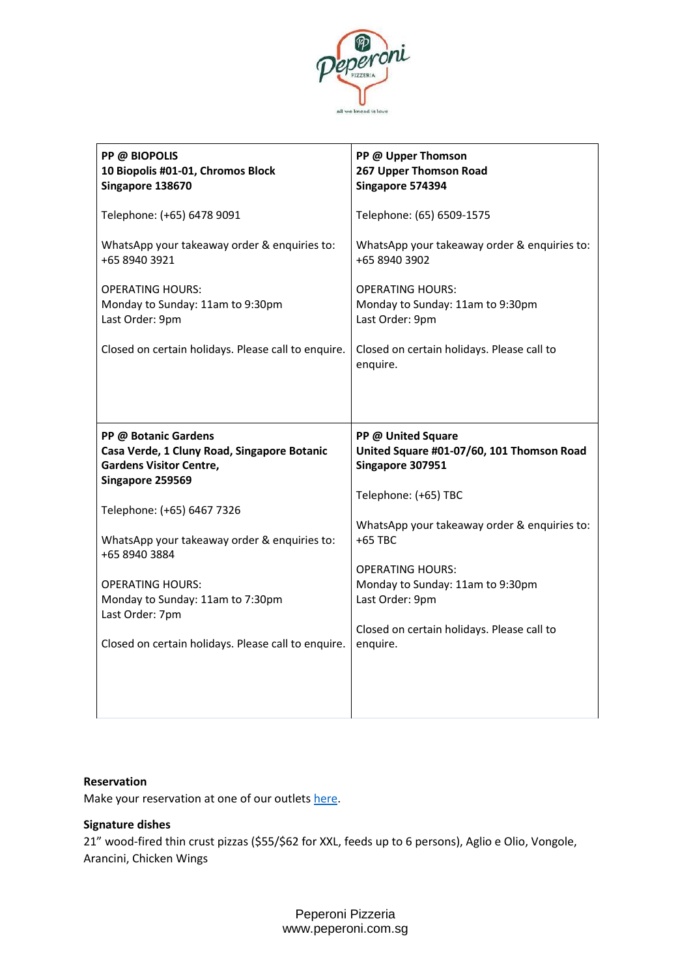

| PP @ BIOPOLIS<br>10 Biopolis #01-01, Chromos Block<br>Singapore 138670                                | PP @ Upper Thomson<br>267 Upper Thomson Road<br>Singapore 574394                    |
|-------------------------------------------------------------------------------------------------------|-------------------------------------------------------------------------------------|
| Telephone: (+65) 6478 9091                                                                            | Telephone: (65) 6509-1575                                                           |
| WhatsApp your takeaway order & enquiries to:<br>+65 8940 3921                                         | WhatsApp your takeaway order & enquiries to:<br>+65 8940 3902                       |
| <b>OPERATING HOURS:</b><br>Monday to Sunday: 11am to 9:30pm<br>Last Order: 9pm                        | <b>OPERATING HOURS:</b><br>Monday to Sunday: 11am to 9:30pm<br>Last Order: 9pm      |
| Closed on certain holidays. Please call to enquire.                                                   | Closed on certain holidays. Please call to<br>enquire.                              |
|                                                                                                       |                                                                                     |
|                                                                                                       |                                                                                     |
| PP @ Botanic Gardens<br>Casa Verde, 1 Cluny Road, Singapore Botanic<br><b>Gardens Visitor Centre,</b> | PP @ United Square<br>United Square #01-07/60, 101 Thomson Road<br>Singapore 307951 |
| Singapore 259569                                                                                      | Telephone: (+65) TBC                                                                |
| Telephone: (+65) 6467 7326                                                                            |                                                                                     |
| WhatsApp your takeaway order & enquiries to:                                                          | WhatsApp your takeaway order & enquiries to:<br>+65 TBC                             |
| +65 8940 3884                                                                                         | <b>OPERATING HOURS:</b>                                                             |
| <b>OPERATING HOURS:</b>                                                                               | Monday to Sunday: 11am to 9:30pm                                                    |
| Monday to Sunday: 11am to 7:30pm                                                                      | Last Order: 9pm                                                                     |
| Last Order: 7pm                                                                                       | Closed on certain holidays. Please call to                                          |
| Closed on certain holidays. Please call to enquire.                                                   | enquire.                                                                            |
|                                                                                                       |                                                                                     |
|                                                                                                       |                                                                                     |

#### **Reservation**

Make your reservation at one of our outlets [here.](https://bookv5.chope.co/booking?rid=peperonifrankel1802fra&source=rest_facebook.peperoni&select_location=1)

#### **Signature dishes**

21" wood-fired thin crust pizzas (\$55/\$62 for XXL, feeds up to 6 persons), Aglio e Olio, Vongole, Arancini, Chicken Wings